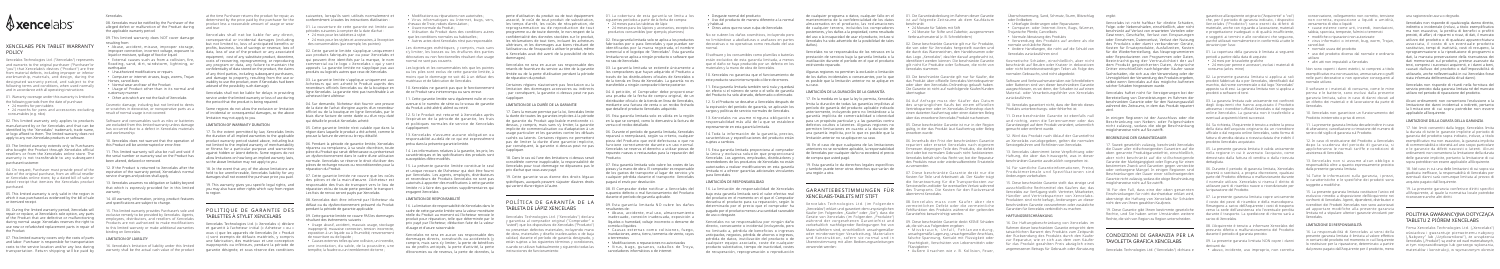

## XENCELABS PEN TABLET WARRAN POLICY

Xencelabs Technologies Ltd. ("Xencelabs") represents and warrants to the original purchaser ("Purchaser"or "you") that Xencelabs's devices ("Product") are free from material defects, including improper or inferior workmanship, materials, and design, during the designated warranty period, and subject to the following terms and conditions, when used normally and in accordance with all operating instructions:

01. Warranty coverage under this warranty is limited to the following periods from the date of purchase:

- 24 months for pen tablets
- 24 months for pens and accessories excluding consumables (e.g. nibs)

02. This limited warranty only applies to products manufactured by or for Xencelabs and that can be identified by the "Xencelabs" trademark, trade name, or logo affixed to them. The limited warranty does not apply to any non-Xencelabs products or software.

03. The limited warranty extends only to Purchasers who bought the Product through Xencelabs official resellers or from the Xencelabs online store. The warranty is not transferable to any subsequent purchaser/customer.

04. On request, Purchaser must provide proof of the date of the original purchase, from an official reseller or Xencelabs online store, by a dated bill of sale or dated receipt that itemizes the Xencelabs product purchased.

05. This limited warranty is only valid in the region in which it was purchased as evidenced by the bill of sale or itemized receipt.

06. During the limited warranty period, Xencelabs will repair or replace, at Xencelabs's sole option, any parts of the Product that are defective or malfunctioning during normal usage. Xencelabs reserves the right to use new or refurbished replacement parts in repair of the Product.

07. This limited warranty covers only the costs of parts and labor. Purchaser is responsible for transportation costs to the service location and/or any loss during transportation. Return shipping will be paid by

#### Xencelabs.

08. Xencelabs must be notified by the Purchaser of the alleged defect or malfunction of the Product during the applicable warranty period.

09. This limited warranty does NOT cover damage resulting from:

- Abuse, accident, misuse, improper storage, improper connection, incorrect voltage, exposure to liquid or moisture, spillage of food or liquid.
- External causes such as from a collision, fire, flooding, sand, dirt, windstorm, lightning, o earthquake
- Unauthorized modifications or repairs
- Computer or internet viruses, bugs, worms, Trojan Horses, cancel-bots
- Normal wear and tear of the Product • Usage of Product other than in its normal and customary manner
- Other acts which are not the fault of Xencelabs

Cosmetic damage, including but not limited to dents or scratches in decorative, or nonoperative parts as a Some regions do not allow the exclusion or limitation result of normal usage is not covered.

Software and consumables such as nibs or batteries are excluded from this limited warranty unless damage has occurred due to a defect in Xencelabs materials and workmanship.

10. Xencelabs does not warrant that the operation of this Product will be uninterrupted or error-free.

11. This limited warranty will also be null and void if the serial number or warranty seal on the Product has been altered, defaced or removed.

12. If the Product is returned to Xencelabs after the expiration of the warranty period, Xencelabs's normal service charges and policies shall apply.

13. Xencelabs assumes no obligation or liability beyond that which is expressly provided for in this limited warranty.

14. All warranty information, pricing, product features and specifications are subject to change.

15. This limited warranty provides Purchaser's sole and exclusive remedy to be provided by Xencelabs. Agents, employees, distributors, and resellers of Xencelabs Products are not authorized to make modifications to this limited warranty or make additional warranties binding on Xencelabs.

#### LIMITATION OF LIABILITY

at the time Purchaser returns the product for repair, as suivantes, lorsqu'ils sont utilisés normalement et determined by the price paid by the purchaser for the conformément à toutes les instructions d'utilisation : product less a reasonable amount of usage or wear and tear.

• Virus informatiques ou Internet, bugs, vers, associé, le coût de tout produit de substitution, perte d'utilisation du produit ou de tout équipement 01. La cobertura de esta garantía se limita a los les temps d'arrêt, les coûts de récupération, de reprogrammation ou de reproduction de tout programme ou de toute donnée, le non-respect de la confidentialité des données stockées sur le produit, les réclamations de tout tiers, incluant les acheteurs ultérieurs, et les dommages aux biens résultant de l'utilisation ou de l'incapacité à utiliser le produit, même si Xencelabs avait été averti de la possibilité de tels dommages)

Xencelabs shall not be liable for any direct, consequential or incidental damages (including but not limited to, loss of anticipated benefits or profits, business, loss of savings or revenue, loss of data, loss of use of the product or any associated equipment, cost of any substitute product, downtime, costs of recovering, reprogramming, or reproducing any program or data, any failure to maintain the confidentiality of data stored on the product, the claims of any third parties, including subsequent purchasers, and damage to property, resulting from the use or inability to use the product, even if Xencelabs had been advised of the possibility such damage).

Xencelabs shall not be liable for delays in providing service under the limited warranty or loss of use during the period that the product is being repaired.

of incidental or consequential damages, so the above limitation may not apply to you.

16. Xencelabs's limitation of liability under this limited warranty shall be the actual cash value of the product garantie désignée, et sous réserve des conditions

#### LIMITATION OF WARRANTY DURATION

17. To the extent permitted by law, Xencelabs limits the duration of all implied warranties to the applicable product warranty period stated above, including but not limited to the implied warranty of merchantability or fitness for a particular purpose and warranties against hidden or latent defects. Some regions do not allow limitations on how long an implied warranty lasts, so the above limitation may not apply to you.

18. In the event that any of the above limitations are held to be unenforceable, Xencelabs liability for any damages shall not exceed the purchase price you paid.

19. This warranty gives you specific legal rights, and you may also have other rights which vary from region to region.

## <u> Andreas Andreas Andreas Andreas Andreas Andreas Andreas Andreas Andreas Andreas Andreas Andreas Andreas Andreas Andreas Andreas Andreas Andreas Andreas Andreas Andreas Andreas Andreas Andreas Andreas Andreas Andreas Andr</u> POLITIOUE DE GARANTIE DES TABLETTES À STYLET XENCELABS

17. Dans la mesure permise par la loi, Xencelabs limite la durée de toutes les garanties implicites à la période 05. Esta garantía limitada solo es válida en la región de garantie du Produit applicable mentionnée cidessus, y compris, mais sans s'y limiter, la garantie implicite de commercialisation ou d'adaptation à un usage particulier et les garanties contre les défauts cachés ou latents. Certaines régions ne permettent pas de limiter la durée d'une garantie implicite, par conséquent, la garantie ci-dessus peut ne pas s'appliquer.

Xencelabs Technologies Ltd. (« Xencelabs ») déclare et garantit à l'acheteur initial (« Acheteur » ou « vous ») que les appareils de Xencelabs (le « Produit ») sont exempts de défauts matériels, y compris une fabrication, des matériaux et une conception inappropriés ou inférieurs, pendant la période de

## POLÍTICA DE GARANTÍA DE TABLETA DE LÁPIZ XENCELABS

01. La couverture de cette garantie est limitée aux périodes suivantes à compter de la date d'achat :

• 24 mois pour les tablettes à stylet • 24 mois pour les stylets et accessoires, à l'exception des consommables (par exemple, les pointes)

02. Cette garantie limitée s'applique uniquement aux produits fabriqués par ou pour Xencelabs et qui peuvent être identifiés par la marque, le nom commercial ou le logo « Xencelabs » qui y sont apposés. La garantie limitée ne s'applique pas aux produits ou logiciels autres que ceux de Xencelabs.

03. La garantie limitée s'applique uniquement aux Acheteurs qui ont acheté le Produit auprès des revendeurs officiels Xencelabs ou de la boutique en ligne Xencelabs. La garantie n'est pas transférable à un de ce Produit sera ininterrompu ou sans erreur. acheteur/client ultérieur.

04. Sur demande, l'Acheteur doit fournir une preuve avenue si le numéro de série ou le sceau de garantie de la date de l'achat d'origine auprès d'un revendeur officiel ou de la boutique en ligne Xencelabs, par le biais d'une facture de vente datée ou d'un reçu daté qui détaille le produit Xencelabs acheté.

05. Cette garantie limitée n'est valable que dans la région dans laquelle le produit a été acheté, comme le prouve la facture de vente ou le reçu détaillé.

06. Pendant la période de garantie limitée, Xencelabs réparera ou remplacera, à sa seule discrétion, toute pièce du Produit qui serait défectueuse ou présenterait un dysfonctionnement dans le cadre d'une utilisation normale. Xencelabs se réserve le droit d'utiliser des pièces de rechange neuves ou reconditionnées pour la réparation du Produit.

07. Cette garantie limitée ne couvre que les coûts des pièces et de la main-d'œuvre. L'Acheteur est responsable des frais de transport vers le lieu de réparation et/ou de toute perte pendant le transport. Les frais de renvoi seront payés par Xencelabs.

08. Xencelabs doit être informé par l'Acheteur du défaut ou du dysfonctionnement présumé du Produit pendant la période de garantie applicable.

09. Cette garantie limitée ne couvre PAS les dommages résultant des événements suivants :

- Usage abusif, accident, mauvais usage, stockage inapproprié, mauvaise connexion, tension incorrecte, exposition à un liquide ou à l'humidité, renversement de nourriture ou de liquide ;
- Causes externes telles qu'une collision, un incendie, une inondation, du sable, de la poussière, une tempête, la foudre ou un tremblement de terre ;
- Modifications ou réparations non autorisées ;
- chevaux de Troie, robots d'annulation ;
- Usure normale du Produit ;
- Utilisation du Produit dans des conditions autres que les conditions normales ou habituelles ;

• Autres actes dont Xencelabs n'est pas responsable.

• Uso del producto de manera diferente a la normal emantenimiento de la confidencialidad de los datos entra uffolgende Zeiträume ab dem Kaufdatum e oder Erdbeben de cualquier programa o datos, cualquier fallo en el 01. Die Garantieabdeckung im Rahmen dieser Garantie almacenados en el producto, las reclamaciones de cualquier tercero, incluidos los compradores posteriores, y los daños a la propiedad, como resultado del uso o la incapacidad de usar el producto, incluso si Xencelabs ha sido advertido de la posibilidad de tales

Les dommages esthétiques, y compris, mais sans s'y limiter, les bosses ou les éraflures des parties décoratives ou non fonctionnelles résultant d'un usage normal ne sont pas couverts.

Les logiciels et les consommables tels que les pointes ou les piles sont exclus de cette garantie limitée, à moins que le dommage ne soit dû à un défaut des matériaux et de fabrication de Xencelabs.

10. Xencelabs ne garantit pas que le fonctionnement

11. Cette garantie limitée sera également nulle et non du Produit a été altéré, abîmé ou retiré.

12. Si le Produit est retourné à Xencelabs après l'expiration de la période de garantie, les frais et politiques normales de service de Xencelabs s'appliqueront.

13. Xencelabs n'assume aucune obligation ou responsabilité au-delà de ce qui est expressément prévu dans la présente garantie limitée.

14. Les informations relatives à la garantie, les prix, les caractéristiques et les spécifications des produits sont susceptibles d'être modifiés.

15. La présente garantie limitée constitue le seul et unique recours de l'Acheteur qui doit être fourni par Xencelabs. Les agents, employés, distributeurs et revendeurs de Produits Xencelabs ne sont pas autorisés à apporter des modifications à cette garantie limitée ni à faire des garanties supplémentaires qui engagent Xencelabs.

#### LIMITATION DE RESPONSABILITÉ

16. La limitation de responsabilité de Xencelabs dans le cadre de cette garantie limitée sera la valeur monétaire réelle du Produit au moment où l'Acheteur renvoie le produit pour réparation, telle que déterminée par le prix payé par l'Acheteur, déduction faite de la valeur d'usage et d'usure raisonnable.

Xencelabs ne sera en aucun cas responsable des dommages directs, consécutifs ou accidentels (y compris, mais sans s'y limiter, la perte de bénéfices ou de profits anticipés, la perte d'activité, la perte d'économies ou de revenus, la perte de données, la

08. Xencelabs muss vom Käufer über den vermeintlichen Defekt oder die vermeintliche Fehlfunktion des Produkts während der geltenden Garantiefrist benachrichtigt werden. 09. Diese beschränkte Garantie deckt KEINE Schäde ab, die sich aus Folgendem ergeben:

• Missbrauch, Unfall, Fehlanwendung unsachgemäße Lagerung, unsachgemäßer Anschluss,

falsche Spannung, Kontakt mit Flüssigkeit ode Feuchtigkeit, Verschütten von Lebensmitteln oder • Äußere Ursachen wie z. B. Kollision, Feuer,

Xencelabs ne sera en aucun cas responsable des retards de fourniture du service au titre de la garantie limitée ou de la perte d'utilisation pendant la période de réparation du produit.

Certaines régions n'autorisent pas l'exclusion ou la limitation des dommages accessoires ou indirects ; par conséquent, la garantie ci-dessus peut ne pas s'appliquer.

#### LIMITATION DE LA DURÉE DE LA GARANTIE

18. Dans le cas où l'une des limitations ci-dessus serait considérée comme inapplicable, la responsabilité de Xencelabs pour tout dommage ne dépassera pas le prix d'achat que vous avez payé.

19. Cette garantie vous donne des droits légaux spécifiques, auxquels peuvent s'ajouter d'autres droits qui varient d'une région à l'autre.

the contract of the contract of the contract of the contract of the contract of

Xencelabs Technologies Ltd. ("Xencelabs") declara y garantiza al comprador original ("Comprador" o "usted") que los dispositivos de Xencelabs ("Producto") no presentan defectos materiales, incluyendo mano de obra, materiales y diseño inadecuados o de baja calidad, durante el período de garantía designado, y están sujetos a los siguientes términos y condiciones, cuando se utilizan habitualmente y siguiendo todas las instrucciones de funcionamiento:

17. Soweit gesetzlich zulässig, beschränkt Xencelab die Dauer aller stillschweigenden Garantien auf die 05. La presente garanzia limitata è valida unicamente oben genannte Produktgarantiefrist, einschließlich, aber nicht beschränkt auf die stillschweigende Garantie der Marktgängigkeit oder Eignung für einen bestimmten Zweck und Garantien gegen versteckte oder verborgene Mängel. In einigen Regionen sind Beschränkungen der Dauer einer stillschweigenden Garantie nicht zulässig, sodass die obige Beschränkung möglicherweise nicht auf Sie zutrifft.

# CONDIZIONI DI GARANZIA PER L TAVOLETTA GRAFICA XENCELABS

siguientes períodos a partir de la fecha de compra: • 24 meses para las tabletas de lápiz • 24 meses para los lápices y accesorios, excepto los productos consumibles (por ejemplo, plumines)

02. Esta garantía limitada solo se aplica a los productos fabricados por o para Xencelabs y que puedan ser identificados por la marca registrada, el nombre normal. comercial o el logotipo de "Xencelabs". Esta garantía limitada no se aplica a ningún producto o software que no sea de Xencelabs.

03. La garantía limitada se extiende únicamente a los compradores que hayan adquirido el Producto a través de los distribuidores oficiales de Xencelabs o de la tienda en línea de Xencelabs. La garantía no es transferible a ningún comprador/cliente posterior.

04. A petición, el Comprador debe proporcionar una prueba de la fecha de compra original, de un distribuidor oficial o de la tienda en línea de Xencelabs, mediante una factura de venta o un recibo fechado que detalle el producto Xencelabs adquirido.

en la que se compró, como lo demuestra la factura de

venta o el recibo detallado.

06. Durante el período de garantía limitada, Xencelabs reparará o reemplazará, según su criterio, cualquier pieza del Producto que esté defectuosa o que no funcione correctamente durante un uso normal. Xencelabs se reserva el derecho a utilizar piezas de repuesto nuevas o restauradas para la reparación del

Producto.

07. Esta garantía limitada solo cubre los costes de las piezas y la mano de obra. El comprador es responsable de los gastos de transporte al lugar de servicio y/o cualquier pérdida durante el transporte. Xencelabs pagará el envío por devolución.

08. El Comprador debe notificar a Xencelabs del supuesto defecto o mal funcionamiento del Producto durante el período de garantía aplicable.

09. Esta garantía limitada NO cubre los daños

13. Xencelabs non si assume alcun obbligo responsabilità oltre a quanto espressamente previsto dalla presente garanzia limitata.

resultantes de:

• Abuso, accidente, mal uso, almacenamiento inadecuado, conexión inadecuada, exposición a líquidos o humedad, voltaje incorrecto o derrame de

comida o líquidos.

• Causas externas como colisiones, fuego, inundaciones, arena, tierra, tormenta de viento, rayos

o terremotos

• Modificaciones o reparaciones no autorizadas • Virus, bugs, gusanos, caballos de Troya, canceladores informáticos o de internet

• Desgaste normal del producto

y habitual

• Otros actos que no sean culpa de Xencelabs

No se cubren los daños cosméticos, incluyendo pero no limitándose a abolladuras o arañazos en partes decorativas o no operativas como resultado del uso

El software y los consumibles como plumillas o baterías están excluidos de esta garantía limitada, a menos que el daño se haya producido por un defecto en los materiales y la mano de obra de Xencelabs.

> 17. Nei limiti consentiti dalla legge, Xencelabs limita la durata di tutte le garanzie implicite al periodo di garanzia del prodotto sopra indicato, incluse, a titolo esemplificativo ma non esaustivo, la garanzia implicita di commerciabilità o idoneità ad uno scopo particolar e le garanzie da difetti nascosti o latenti. Alcu ordinamenti non consentono la limitazione della durat delle garanzie implicite, pertanto la limitazione di cui sopra potrebbe non essere applicabile all'Acquirente.

10. Xencelabs no garantiza que el funcionamiento de este producto sea ininterrumpido o libre de errores.

11. Esta garantía limitada también será nula y quedará sin efecto si el número de serie o el sello de garantía del Producto ha sido alterado, deformado o eliminado.

12. Si el Producto se devuelve a Xencelabs después de la expiración del período de garantía, se aplicarán los cargos y políticas de servicio normales de Xencelabs.

> 18. Nel caso in cui una delle limitazioni di cui sopra si giudicata inefficace, la responsabilità di Xencelabs pe eventuali danni sarà comunque limitata al prezzo di acquisto pagato dall'Acquirente.

## POLITYKA GWARANCYINA DOTYCZĄC TABLETU Z PIÓREM XENCELABS

13. Xencelabs no asume ninguna obligación o responsabilidad más allá de la que se establece expresamente en esta garantía limitada.

14. Toda la información de la garantía, precios, características y especificaciones del producto están sujetas a cambios.

> Firma Xencelabs Technologies Ltd. ("Xencelabs") oświadcza i gwarantuje pierwotnemu nabywcy ("Nabywcy" lub "Użytkownikowi"), że urządzenia Xencelabs ("Produkt") sa wolne od wad materiałowych w tym nieprawidłowego lub gorszego wykonania, materiałów i konstrukcji, w wyznaczonym okresie

15. Esta garantía limitada proporciona al comprador la única y exclusiva solución que proporcionará Xencelabs. Los agentes, empleados, distribuidores y revendedores de los productos de Xencelabs no están autorizados a realizar modificaciones en esta garantía limitada ni a ofrecer garantías adicionales vinculantes para Xencelabs.

#### LIMITACIÓN DE RESPONSABILIDAD

16. La limitación de responsabilidad de Xencelabs bajo esta garantía limitada será el valor efectivo real del producto en el momento en el que el Comprador devuelva el producto para su reparación, según lo determinado por el precio que el comprador ha pagado por el producto menos una cantidad razonable de uso o desgaste.

Xencelabs no se responsabiliza por ningún daño directo, consecuente o incidental (incluyendo, pero no limitado a, pérdida de beneficios o ingresos anticipados, negocios, pérdida de ahorros o ingresos, pérdida de datos, inutilización del producto o de cualquier equipo asociado, coste de cualquier producto substitutivo, tiempo de inactividad, costes de recuperación, reprogramación o reproducción

daños).

Xencelabs no se responsabiliza de los retrasos en la die durch das Warenzeichen, den Handelsnamen oder prestación de servicios bajo la garantía limitada o la inutilización durante el período en el que el producto identifiziert werden können. Die beschränkte Garantie esté siendo reparado.

Algunas regiones no permiten la exclusión o limitación de los daños incidentales o consecuentes, por lo que es posible que la limitación anterior no se aplique en su caso.

### LIMITACIÓN DE LA DURACIÓN DE LA GARANTÍA

17. En la medida en la que la ley lo permita, Xencelabs limita la duración de todas las garantías implícitas al período de garantía del producto aplicable indicado anteriormente, incluyendo pero no limitándose a la garantía implícita de comerciabilidad o idoneidad para un propósito particular y a las garantías contra defectos ocultos o latentes. Algunas regiones no 05. Diese beschränkte Garantie ist nur in der Region permiten limitaciones en cuanto a la duración de gültig, in der das Produkt laut Kaufvertrag oder Beleg gemacht oder entfernt wurde. una garantía implícita, por lo que es posible que la erworben wurde. limitación anterior no se aplique en su caso.

18. En el caso de que cualquiera de las limitaciones repariert oder ersetzt Xencelabs nach eigenem anteriores no se considere aplicable, la responsabilidad de Xencelabs por cualquier daño no excederá el precio de compra que usted pagó.

19. Esta garantía le da derechos legales específicos y también puede tener otros derechos que varían de una región a otra.

the control of the control of the control of the control of the control of the control of

## GARANTIEBESTIMMUNGEN FÜR XENCELABS-TABLETS MIT STIFT

Xencelabs Technologies Ltd. (im Folgenden "Xencelabs") erklärt und garantiert dem ursprünglichen Käufer (im Folgenden "Käufer" oder "Sie"), dass die Geräte von Xencelabs (im Folgenden "Produkte") während der vorgesehenen Garantiefrist und vorbehaltlich nachfolgender Bedingungen frei von Materialfehlern sind, einschließlich unsachgemäßer oder minderwertiger Verarbeitung, Materialien und Konstruktion, sofern sie normal und in Übereinstimmung mit allen Bedienungsanleitungen verwendet werden:

beschränkt:

• 24 Monate für Tablets mit Stift

• 24 Monate für Stifte und Zubehör, ausgenommen Verbrauchsmaterial (z. B. Schreibfedern) 02. Diese beschränkte Garantie gilt nur für Produkte, die von oder für Xencelabs hergestellt wurden und das Logo "Xencelabs", das/der darauf angebracht is gilt nicht für Produkte oder Software, die nicht von

Xencelabs stammen.

03. Die beschränkte Garantie gilt nur für Käufer, die das Produkt über offizielle Xencelabs-Vertriebspartner oder über den Xencelabs-Onlineshop gekauft haben. Die Garantie ist nicht auf nachfolgende Käufer/Kunden

übertragbar.

04. Auf Anfrage muss der Käufer das Datum des ursprünglichen Kaufs bei einem offiziellen Vertriebspartner oder im Xencelabs-Onlineshop durch einen datierten Kaufvertrag oder einen datierten Beleg über das erworbene Xencelabs-Produkt nachweisen.

06. Innerhalb der Frist der beschränkten Garantie Ermessen diejenigen Teile des Produkts, die defekt sind oder bei normalem Gebrauch nicht funktionieren. Xencelabs behält sich das Recht vor, bei der Reparatur des Produkts neue oder wiederaufbereitete Ersatzteile

zu verwenden.

07. Diese beschränkte Garantie deckt nur die Kosten für Teile und Arbeitszeit ab. Der Käufer trägt die Verantwortung für die Transportkosten zur Servicestelle und/oder für eventuellen Verlust während des Transports. Die Kosten für den Rückversand

übernimmt Xencelabs.

Flüssigkeiten

- Unbefugte Änderungen oder Reparaturen
- Computer- oder Internet-Viren, Bugs, Würmer, Trojanische Pferde, Cancelbots
- Normale Abnutzung des Produkts
- Verwendung des Produkts auf andere als die normale und übliche Weise
- Andere Handlungen, die nicht auf die Schuld von Xencelabs zurückzuführen sind

Kosmetische Schäden, einschließlich, aber nicht Beeinträchtigung der Vertraulichkeit der auf beschränkt auf Beulen oder Kratzer in dekorativen oder nicht betriebsnotwendigen Teilen als Folge des normalen Gebrauchs, sind nicht abgedeckt.

Software und Verbrauchsmaterialien wie Schreibfedern oder Batterien sind von dieser beschränkten Garantie ausgeschlossen, es sei denn, der Schaden ist auf einen Material- oder Verarbeitungsfehler von Xencelabs zurückzuführen.

10. Xencelabs garantiert nicht, dass der Betrieb dieses Produkts unterbrechungs- oder fehlerfrei ist.

11. Diese beschränkte Garantie ist ebenfalls null und nichtig, wenn die Seriennummer oder das Garantiesiegel auf dem Produkt verändert, unkenntlich

Überschwemmung, Sand, Schmutz, Sturm, Blitzschlag ergibt.

12. Wird das Produkt nach Ablauf der Garantiefrist an Xencelabs zurückgegeben, gelten die normalen Servicegebühren und Richtlinien von Xencelabs.

13. Xencelabs übernimmt keine Verpflichtung oder Haftung, die über das hinausgeht, was in dieser beschränkten Garantie ausdrücklich vorgesehen ist.

14. Für sämtliche Garantieinformationen, Preise, Produktmerkmale und Spezifikationen sind Änderungen vorbehalten.

15. Diese beschränkte Garantie stellt das einzige und ausschließliche Rechtsmittel des Käufers dar, das Xencelabs zur Verfügung stellt. Vertreter, Mitarbeiter, Händler und Vertriebspartner von Xencelabs-Produkten sind nicht befugt, Änderungen an dieser beschränkten Garantie vorzunehmen oder zusätzliche Garantien für Xencelabs verbindlich zu machen.

#### HAFTUNGSBESCHRÄNKUNG

16. Die Haftungsbeschränkung von Xencelabs im Rahmen dieser beschränkten Garantie entspricht dem tatsächlichen Barwert des Produkts zum Zeitpunkt der Rücksendung des Produkts durch den Käufer zur Reparatur, wie er sich aus dem vom Käufer für das Produkt gezahlten Preis abzüglich eines angemessenen Betrags für Gebrauch oder Abnutzung

Xencelabs ist nicht haftbar für direkte Schäden, Folge- oder Nebenschäden, einschließlich, aber nicht beschränkt auf Verlust von erwarteten Vorteilen oder Gewinnen, Geschäfte, Verlust von Einsparungen oder Einnahmen, Datenverlust, Verlust der Nutzung des Produkts oder damit verbundener Geräte, Kosten für Ersatzprodukte, Ausfallzeiten, Kosten für die Wiederherstellung, das Neuprogrammieren oder Reproduzieren von Programmen oder Daten, dem Produkt gespeicherten Daten, Ansprüche Dritter einschließlich nachfolgender Käufer sowie Sachschäden, die sich aus der Verwendung oder der Unmöglichkeit der Verwendung des Produkts ergeben, selbst wenn Xencelabs auf das mögliche Auftreten solcher Schäden hingewiesen wurde.

Xencelabs haftet nicht für Verzögerungen bei der Bereitstellung von Dienstleistungen im Rahmen der beschränkten Garantie oder für den Nutzungsausfall während des Zeitraums, in dem das Produkt repariert wird.

In einigen Regionen ist der Ausschluss oder die Beschränkung von Neben- oder Folgeschäde nicht zulässig, sodass die obige Beschränkung möglicherweise nicht auf Sie zutrifft.

#### BEGRENZUNG DER GARANTIEDAUER

18. Für den Fall, dass eine der oben genannten Einschränkungen für nicht durchsetzbar erklärt wird, übersteigt die Haftung von Xencelabs für Schäden nicht den von Ihnen gezahlten Kaufpreis.

19. Diese Garantie gibt Ihnen bestimmte gesetzliche Rechte, und Sie haben unter Umständen weitere Rechte, die sich von Region zu Region unterscheiden.

<u> Andreas Andreas Andreas Andreas Andreas Andreas Andreas Andreas Andreas Andreas Andreas Andreas Andreas Andreas Andreas Andreas Andreas Andreas Andreas Andreas Andreas Andreas Andreas Andreas Andreas Andreas Andreas Andr</u>

Xencelabs Technologies Ltd. ("Xencelabs") dichiara e

garantisce all'acquirente originario ("Acquirente" o "voi") che, per il periodo di garanzia indicato, i dispositivi Xencelabs ("Prodotto") sono esenti da difetti di materiale, anche con riguardo a lavorazione, materiali e progettazione inadeguati o di qualità insufficiente, e soggetti ai termini e alle condizioni che seguono, purché utilizzati normalmente e in conformità a tutte le istruzioni per l'uso:

01. La copertura della garanzia è limitata ai seguenti periodi a partire dalla data di acquisto:

• 24 mesi per le tavolette grafiche • 24 mesi per penne e accessori, esclusi i materiali di consumo (ad es. mine)

02. La presente garanzia limitata si applica ai soli prodotti fabbricati da o per Xencelabs, identificabili dal marchio, dal nome commerciale o dal logo "Xencelabs" apposto su di essi. La garanzia limitata non si applica a prodotti o software di terzi.

03. La garanzia limitata vale unicamente nei confronti degli Acquirenti che hanno acquistato il Prodotto attraverso i rivenditori ufficiali Xencelabs o dal negozio online Xencelabs. La garanzia non è trasferibile a eventuali acquirenti/clienti successivi.

della data dell'acquisto originario da un rivenditore ufficiale o dal negozio online Xencelabs, sotto forma di fattura di vendita datata o ricevuta datata che indichi il prodotto Xencelabs acquistato.

nella regione in cui è avvenuto l'acquisto, come dimostrato dalla fattura di vendita o dalla ricevuta dettagliata.

06. Durante il periodo di garanzia limitata, Xencelabs riparerà o sostituirà, a propria discrezione, qualsiasi parte del Prodotto difettosa o malfunzionante durante il normale utilizzo. Xencelabs si riserva il diritto di utilizzare parti di ricambio nuove o ricondizionate per la riparazione del Prodotto.

07. La presente garanzia limitata copre unicamente il costo dei pezzi di ricambio e della manodopera. Rimangono a carico dell'Acquirente i costi di trasporto verso la sede dell'assistenza e/o l'eventuale perdita durante il trasporto. La spedizione di ritorno sarà a carico di Xencelabs.

08. L'Acquirente è tenuto a informare Xencelabs del presunto difetto o malfunzionamento del Prodotto durante il periodo di garanzia previsto.

04. Su richiesta, l'Acquirente è tenuto a esibire la prova 11. La presente garanzia limitata decade inoltre in caso di alterazione, cancellazione o rimozione del numero di serie o del sigillo di garanzia sul Prodotto.

09. La presente garanzia limitata NON copre i danni derivanti da:

• abuso, incidente, uso improprio, non corretta

conservazione, collegamento non corretto, tensione una ragionevole usura o degrado. non corretta, esposizione a liquidi o umidità, versamento di cibo o liquidi

• cause esterne come urti, incendi, inondazio sabbia, sporcizia, tempeste, fulmini o terremoti

- modifiche o riparazioni non autorizzate
- virus informatici o internet, bug, worm, Trojan, cancel-bot
- normale usura del prodotto
- uso del prodotto diverso dal normale e ordinario utilizzo
- altri atti non imputabili a Xencelabs

Non sono coperti i danni estetici, ivi compresi a titolo esemplificativo ma non esaustivo, ammaccature o graffi nelle parti decorative o non operative conseguenti al normale utilizzo.

Il software e i materiali di consumo, come le mine penna e le batterie, sono esclusi dalla presente garanzia limitata, salvo in caso di danni dovuti ad un difetto dei materiali e di lavorazione da parte di Xencelabs.

10. Xencelabs non garantisce un funzionamento del Prodotto ininterrotto o privo di errori.

12. In caso di restituzione del Prodotto a Xencelabs dopo la scadenza del periodo di garanzia, si applicheranno le normali tariffe e condizioni di assistenza di Xencelabs.

14. Tutte le informazioni sulla garanzia, i prezzi, le caratteristiche e le specifiche dei prodotti sono soggette a modifiche.

15. La presente garanzia limitata costituisce l'unico ed esclusivo rimedio a disposizione dell'Acquirente nei confronti di Xencelabs. Agenti, dipendenti, distributori e rivenditori dei Prodotti Xencelabs non sono autorizzati ad apportare modifiche alla presente garanzia limitata né a stipulare ulteriori garanzie vincolanti per Xencelabs.

#### LIMITAZIONE DI RESPONSABILITÀ

16. La responsabilità di Xencelabs ai sensi della presente garanzia limitata è limitata al valore effettivo in contanti del prodotto nel momento in cui l'Acquirente lo restituisce per la riparazione, determinato a partire dal prezzo pagato dall'Acquirente per il prodotto, meno

Xencelabs non risponde di qualsivoglia danno diretto, indiretto o incidentale (inclusi, a titolo esemplificativo ma non esaustivo, la perdita di benefici o profitprevisti, di affari, di risparmi o ricavi, di dati, il mancato utilizzo del prodotto o di qualsiasi apparecchiatura associata, il costo di un eventuale prodotto sostitutivo, tempi di inattività, costi di recupero, l riprogrammazione o la riproduzione di programmi dati, la mancata preservazione della riservatezza dei dati memorizzati sul prodotto, pretese avanzate da terzi, compresi i successivi acquirenti, e i danni a ben causati dall'uso del prodotto o dall'impossibilità di utilizzarlo, anche nell'eventualità in cui Xencelabs fosse stata informata dell'eventualità di tali danni).

Xencelabs non risponde di ritardi nella fornitura del servizio previsto dalla garanzia limitata né del mancato utilizzo nel periodo di riparazione del prodotto.

Alcuni ordinamenti non consentono l'esclusione o la limitazione dei danni incidentali o indiretti, pertanto la limitazione di cui sopra potrebbe non essere applicabile all'Acquirente.

#### LIMITAZIONE DELLA DURATA DELLA GARANZIA

19. La presente garanzia conferisce diritti specifici all'Acquirente, al quale la normativa locale potrebbe riconoscere anche altri diritti.